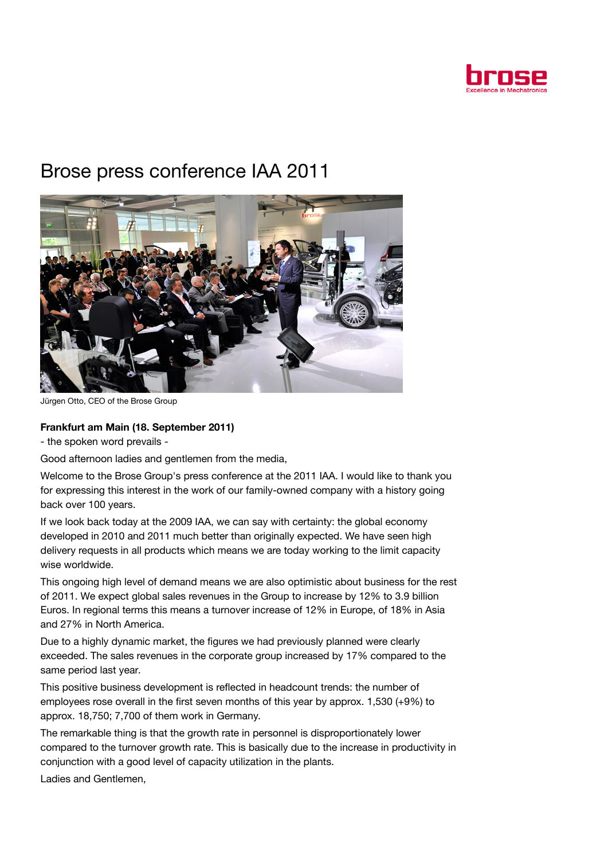

## Brose press conference IAA 2011



Jürgen Otto, CEO of the Brose Group

## Frankfurt am Main (18. September 2011)

- the spoken word prevails -

Good afternoon ladies and gentlemen from the media,

Welcome to the Brose Group's press conference at the 2011 IAA. I would like to thank you for expressing this interest in the work of our family-owned company with a history going back over 100 years.

If we look back today at the 2009 IAA, we can say with certainty: the global economy developed in 2010 and 2011 much better than originally expected. We have seen high delivery requests in all products which means we are today working to the limit capacity wise worldwide.

This ongoing high level of demand means we are also optimistic about business for the rest of 2011. We expect global sales revenues in the Group to increase by 12% to 3.9 billion Euros. In regional terms this means a turnover increase of 12% in Europe, of 18% in Asia and 27% in North America.

Due to a highly dynamic market, the figures we had previously planned were clearly exceeded. The sales revenues in the corporate group increased by 17% compared to the same period last year.

This positive business development is reflected in headcount trends: the number of employees rose overall in the first seven months of this year by approx. 1,530 (+9%) to approx. 18,750; 7,700 of them work in Germany.

The remarkable thing is that the growth rate in personnel is disproportionately lower compared to the turnover growth rate. This is basically due to the increase in productivity in conjunction with a good level of capacity utilization in the plants.

Ladies and Gentlemen,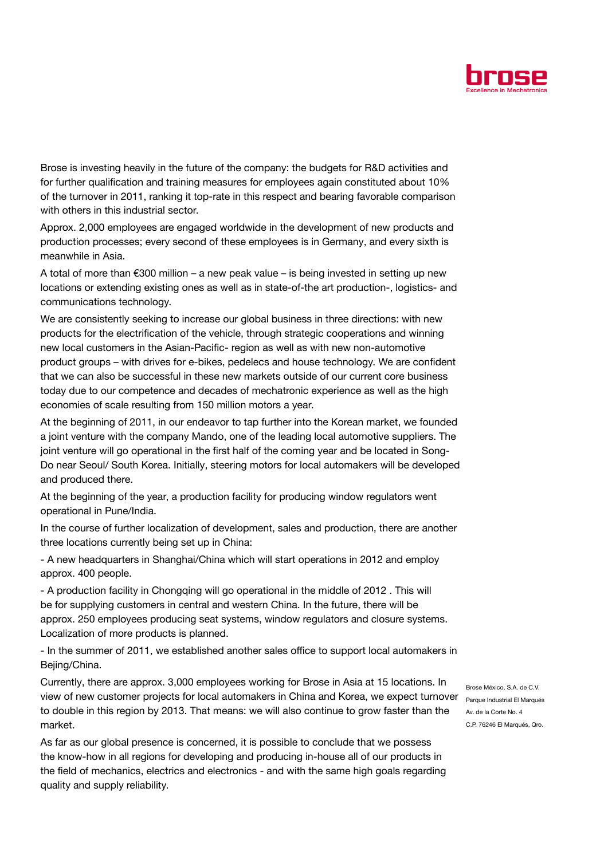

Brose is investing heavily in the future of the company: the budgets for R&D activities and for further qualification and training measures for employees again constituted about 10% of the turnover in 2011, ranking it top-rate in this respect and bearing favorable comparison with others in this industrial sector.

Approx. 2,000 employees are engaged worldwide in the development of new products and production processes; every second of these employees is in Germany, and every sixth is meanwhile in Asia.

A total of more than  $€300$  million – a new peak value – is being invested in setting up new locations or extending existing ones as well as in state-of-the art production-, logistics- and communications technology.

We are consistently seeking to increase our global business in three directions: with new products for the electrification of the vehicle, through strategic cooperations and winning new local customers in the Asian-Pacific- region as well as with new non-automotive product groups – with drives for e-bikes, pedelecs and house technology. We are confident that we can also be successful in these new markets outside of our current core business today due to our competence and decades of mechatronic experience as well as the high economies of scale resulting from 150 million motors a year.

At the beginning of 2011, in our endeavor to tap further into the Korean market, we founded a joint venture with the company Mando, one of the leading local automotive suppliers. The joint venture will go operational in the first half of the coming year and be located in Song-Do near Seoul/ South Korea. Initially, steering motors for local automakers will be developed and produced there.

At the beginning of the year, a production facility for producing window regulators went operational in Pune/India.

In the course of further localization of development, sales and production, there are another three locations currently being set up in China:

- A new headquarters in Shanghai/China which will start operations in 2012 and employ approx. 400 people.

- A production facility in Chongqing will go operational in the middle of 2012 . This will be for supplying customers in central and western China. In the future, there will be approx. 250 employees producing seat systems, window regulators and closure systems. Localization of more products is planned.

- In the summer of 2011, we established another sales office to support local automakers in Bejing/China.

Currently, there are approx. 3,000 employees working for Brose in Asia at 15 locations. In view of new customer projects for local automakers in China and Korea, we expect turnover parque Industrial El Marqués to double in this region by 2013. That means: we will also continue to grow faster than the market.

As far as our global presence is concerned, it is possible to conclude that we possess the know-how in all regions for developing and producing in-house all of our products in the field of mechanics, electrics and electronics - and with the same high goals regarding quality and supply reliability.

Brose México, S.A. de C.V. Av. de la Corte No. 4 C.P. 76246 El Marqués, Qro.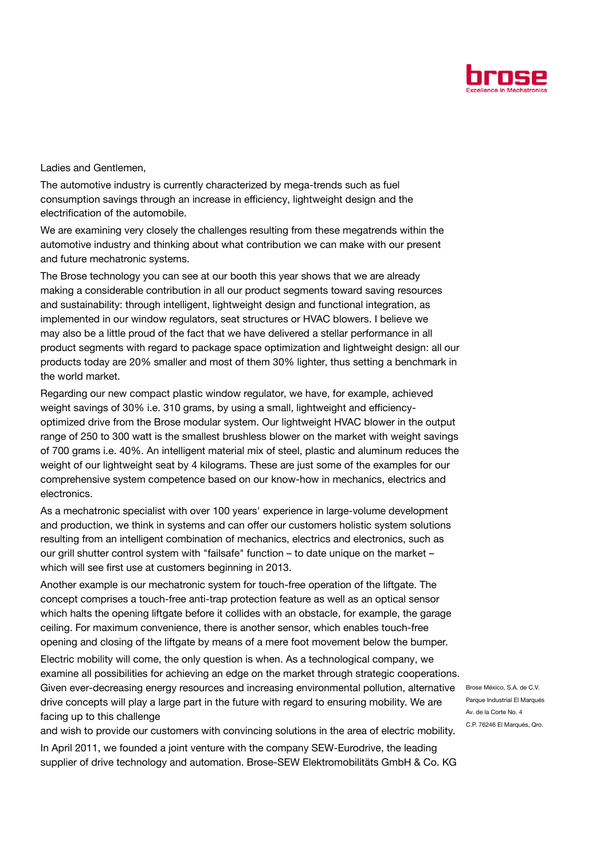

Ladies and Gentlemen,

The automotive industry is currently characterized by mega-trends such as fuel consumption savings through an increase in efficiency, lightweight design and the electrification of the automobile.

We are examining very closely the challenges resulting from these megatrends within the automotive industry and thinking about what contribution we can make with our present and future mechatronic systems.

The Brose technology you can see at our booth this year shows that we are already making a considerable contribution in all our product segments toward saving resources and sustainability: through intelligent, lightweight design and functional integration, as implemented in our window regulators, seat structures or HVAC blowers. I believe we may also be a little proud of the fact that we have delivered a stellar performance in all product segments with regard to package space optimization and lightweight design: all our products today are 20% smaller and most of them 30% lighter, thus setting a benchmark in the world market.

Regarding our new compact plastic window regulator, we have, for example, achieved weight savings of 30% i.e. 310 grams, by using a small, lightweight and efficiencyoptimized drive from the Brose modular system. Our lightweight HVAC blower in the output range of 250 to 300 watt is the smallest brushless blower on the market with weight savings of 700 grams i.e. 40%. An intelligent material mix of steel, plastic and aluminum reduces the weight of our lightweight seat by 4 kilograms. These are just some of the examples for our comprehensive system competence based on our know-how in mechanics, electrics and electronics.

As a mechatronic specialist with over 100 years' experience in large-volume development and production, we think in systems and can offer our customers holistic system solutions resulting from an intelligent combination of mechanics, electrics and electronics, such as our grill shutter control system with "failsafe" function – to date unique on the market – which will see first use at customers beginning in 2013.

Another example is our mechatronic system for touch-free operation of the liftgate. The concept comprises a touch-free anti-trap protection feature as well as an optical sensor which halts the opening liftgate before it collides with an obstacle, for example, the garage ceiling. For maximum convenience, there is another sensor, which enables touch-free opening and closing of the liftgate by means of a mere foot movement below the bumper.

Electric mobility will come, the only question is when. As a technological company, we examine all possibilities for achieving an edge on the market through strategic cooperations. Given ever-decreasing energy resources and increasing environmental pollution, alternative Brose México, S.A. de C.V. drive concepts will play a large part in the future with regard to ensuring mobility. We are facing up to this challenge

and wish to provide our customers with convincing solutions in the area of electric mobility. In April 2011, we founded a joint venture with the company SEW-Eurodrive, the leading supplier of drive technology and automation. Brose-SEW Elektromobilitäts GmbH & Co. KG

Parque Industrial El Marqués Av. de la Corte No. 4 C.P. 76246 El Marqués, Qro.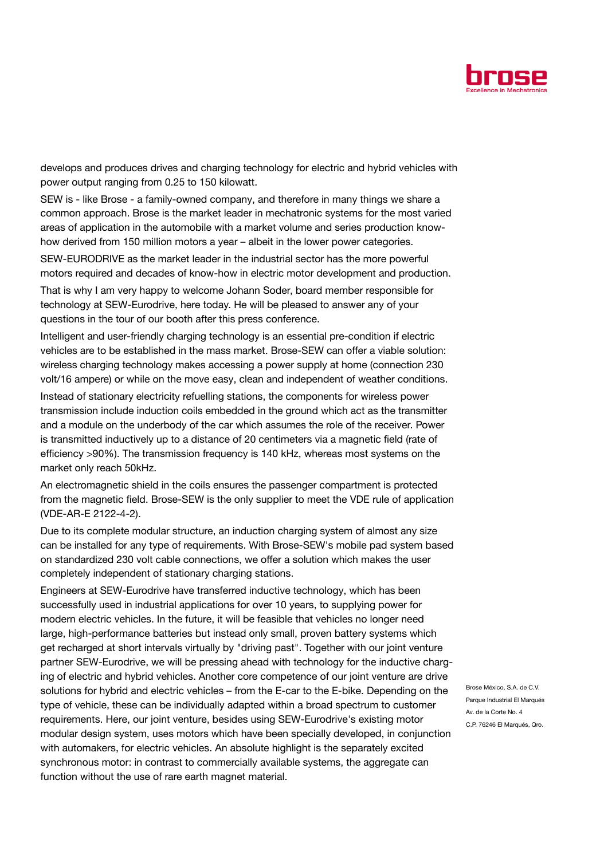

develops and produces drives and charging technology for electric and hybrid vehicles with power output ranging from 0.25 to 150 kilowatt.

SEW is - like Brose - a family-owned company, and therefore in many things we share a common approach. Brose is the market leader in mechatronic systems for the most varied areas of application in the automobile with a market volume and series production knowhow derived from 150 million motors a year – albeit in the lower power categories.

SEW-EURODRIVE as the market leader in the industrial sector has the more powerful motors required and decades of know-how in electric motor development and production.

That is why I am very happy to welcome Johann Soder, board member responsible for technology at SEW-Eurodrive, here today. He will be pleased to answer any of your questions in the tour of our booth after this press conference.

Intelligent and user-friendly charging technology is an essential pre-condition if electric vehicles are to be established in the mass market. Brose-SEW can offer a viable solution: wireless charging technology makes accessing a power supply at home (connection 230 volt/16 ampere) or while on the move easy, clean and independent of weather conditions.

Instead of stationary electricity refuelling stations, the components for wireless power transmission include induction coils embedded in the ground which act as the transmitter and a module on the underbody of the car which assumes the role of the receiver. Power is transmitted inductively up to a distance of 20 centimeters via a magnetic field (rate of efficiency >90%). The transmission frequency is 140 kHz, whereas most systems on the market only reach 50kHz.

An electromagnetic shield in the coils ensures the passenger compartment is protected from the magnetic field. Brose-SEW is the only supplier to meet the VDE rule of application (VDE-AR-E 2122-4-2).

Due to its complete modular structure, an induction charging system of almost any size can be installed for any type of requirements. With Brose-SEW's mobile pad system based on standardized 230 volt cable connections, we offer a solution which makes the user completely independent of stationary charging stations.

Engineers at SEW-Eurodrive have transferred inductive technology, which has been successfully used in industrial applications for over 10 years, to supplying power for modern electric vehicles. In the future, it will be feasible that vehicles no longer need large, high-performance batteries but instead only small, proven battery systems which get recharged at short intervals virtually by "driving past". Together with our joint venture partner SEW-Eurodrive, we will be pressing ahead with technology for the inductive charging of electric and hybrid vehicles. Another core competence of our joint venture are drive solutions for hybrid and electric vehicles – from the E-car to the E-bike. Depending on the type of vehicle, these can be individually adapted within a broad spectrum to customer requirements. Here, our joint venture, besides using SEW-Eurodrive's existing motor modular design system, uses motors which have been specially developed, in conjunction with automakers, for electric vehicles. An absolute highlight is the separately excited synchronous motor: in contrast to commercially available systems, the aggregate can function without the use of rare earth magnet material.

Brose México, S.A. de C.V. Parque Industrial El Marqués Av. de la Corte No. 4 C.P. 76246 El Marqués, Qro.